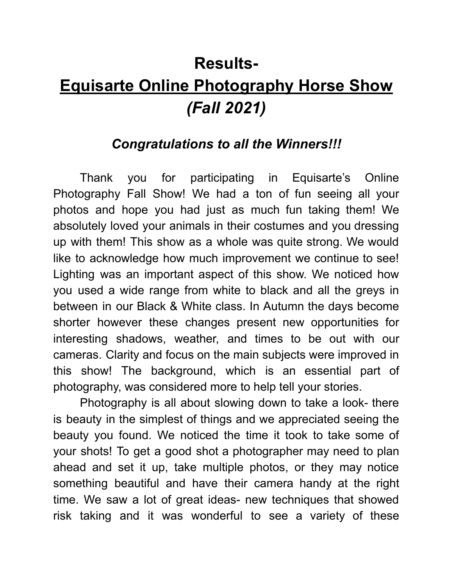# **Results-Equisarte Online Photography Horse Show** *(Fall 2021)*

### *Congratulations to all the Winners!!!*

Thank you for participating in Equisarte's Online Photography Fall Show! We had a ton of fun seeing all your photos and hope you had just as much fun taking them! We absolutely loved your animals in their costumes and you dressing up with them! This show as a whole was quite strong. We would like to acknowledge how much improvement we continue to see! Lighting was an important aspect of this show. We noticed how you used a wide range from white to black and all the greys in between in our Black & White class. In Autumn the days become shorter however these changes present new opportunities for interesting shadows, weather, and times to be out with our cameras. Clarity and focus on the main subjects were improved in this show! The background, which is an essential part of photography, was considered more to help tell your stories.

Photography is all about slowing down to take a look- there is beauty in the simplest of things and we appreciated seeing the beauty you found. We noticed the time it took to take some of your shots! To get a good shot a photographer may need to plan ahead and set it up, take multiple photos, or they may notice something beautiful and have their camera handy at the right time. We saw a lot of great ideas- new techniques that showed risk taking and it was wonderful to see a variety of these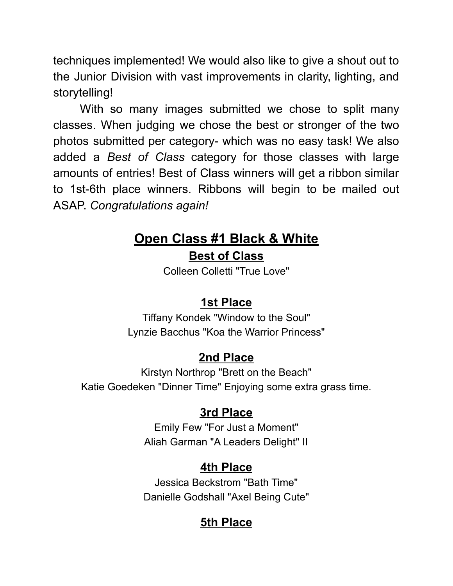techniques implemented! We would also like to give a shout out to the Junior Division with vast improvements in clarity, lighting, and storytelling!

With so many images submitted we chose to split many classes. When judging we chose the best or stronger of the two photos submitted per category- which was no easy task! We also added a *Best of Class* category for those classes with large amounts of entries! Best of Class winners will get a ribbon similar to 1st-6th place winners. Ribbons will begin to be mailed out ASAP. *Congratulations again!*

# **Open Class #1 Black & White**

### **Best of Class**

Colleen Colletti "True Love"

### **1st Place**

Tiffany Kondek "Window to the Soul" Lynzie Bacchus "Koa the Warrior Princess"

### **2nd Place**

Kirstyn Northrop "Brett on the Beach" Katie Goedeken "Dinner Time" Enjoying some extra grass time.

### **3rd Place**

Emily Few "For Just a Moment" Aliah Garman "A Leaders Delight" II

### **4th Place**

Jessica Beckstrom "Bath Time" Danielle Godshall "Axel Being Cute"

### **5th Place**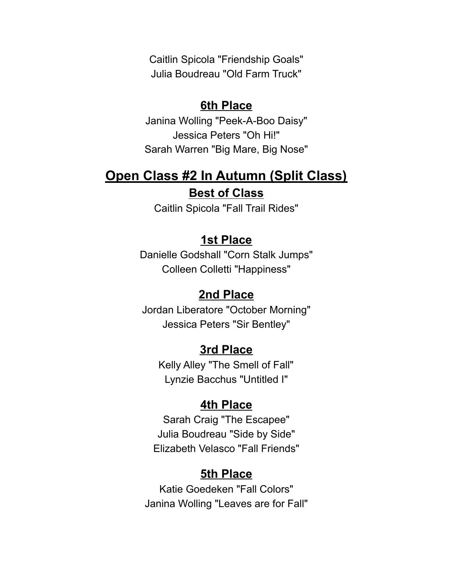Caitlin Spicola "Friendship Goals" Julia Boudreau "Old Farm Truck"

#### **6th Place**

Janina Wolling "Peek-A-Boo Daisy" Jessica Peters "Oh Hi!" Sarah Warren "Big Mare, Big Nose"

### **Open Class #2 In Autumn (Split Class) Best of Class**

Caitlin Spicola "Fall Trail Rides"

#### **1st Place**

Danielle Godshall "Corn Stalk Jumps" Colleen Colletti "Happiness"

#### **2nd Place**

Jordan Liberatore "October Morning" Jessica Peters "Sir Bentley"

#### **3rd Place**

Kelly Alley "The Smell of Fall" Lynzie Bacchus "Untitled I"

#### **4th Place**

Sarah Craig "The Escapee" Julia Boudreau "Side by Side" Elizabeth Velasco "Fall Friends"

#### **5th Place**

Katie Goedeken "Fall Colors" Janina Wolling "Leaves are for Fall"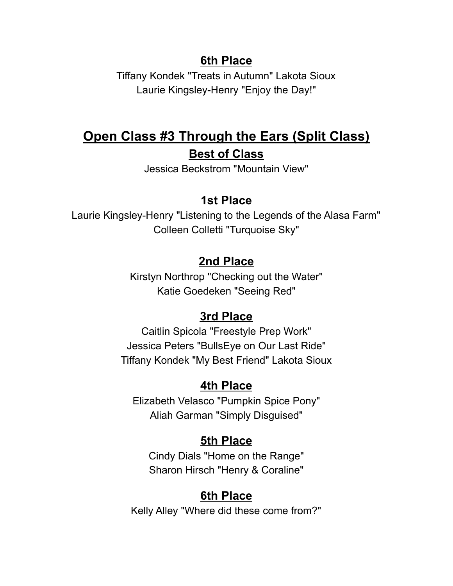#### **6th Place**

Tiffany Kondek "Treats in Autumn" Lakota Sioux Laurie Kingsley-Henry "Enjoy the Day!"

# **Open Class #3 Through the Ears (Split Class) Best of Class**

Jessica Beckstrom "Mountain View"

#### **1st Place**

Laurie Kingsley-Henry "Listening to the Legends of the Alasa Farm" Colleen Colletti "Turquoise Sky"

#### **2nd Place**

Kirstyn Northrop "Checking out the Water" Katie Goedeken "Seeing Red"

#### **3rd Place**

Caitlin Spicola "Freestyle Prep Work" Jessica Peters "BullsEye on Our Last Ride" Tiffany Kondek "My Best Friend" Lakota Sioux

#### **4th Place**

Elizabeth Velasco "Pumpkin Spice Pony" Aliah Garman "Simply Disguised"

#### **5th Place**

Cindy Dials "Home on the Range" Sharon Hirsch "Henry & Coraline"

#### **6th Place**

Kelly Alley "Where did these come from?"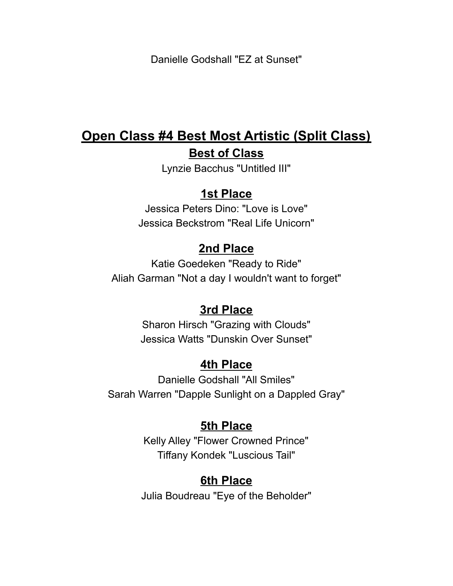Danielle Godshall "EZ at Sunset"

### **Open Class #4 Best Most Artistic (Split Class) Best of Class**

Lynzie Bacchus "Untitled III"

#### **1st Place**

Jessica Peters Dino: "Love is Love" Jessica Beckstrom "Real Life Unicorn"

#### **2nd Place**

Katie Goedeken "Ready to Ride" Aliah Garman "Not a day I wouldn't want to forget"

#### **3rd Place**

Sharon Hirsch "Grazing with Clouds" Jessica Watts "Dunskin Over Sunset"

#### **4th Place**

Danielle Godshall "All Smiles" Sarah Warren "Dapple Sunlight on a Dappled Gray"

#### **5th Place**

Kelly Alley "Flower Crowned Prince" Tiffany Kondek "Luscious Tail"

#### **6th Place**

Julia Boudreau "Eye of the Beholder"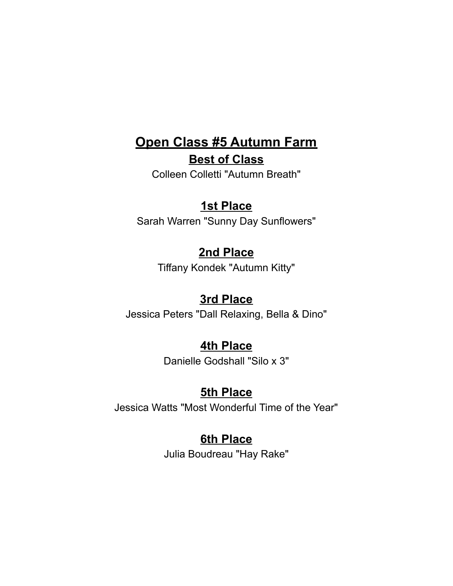# **Open Class #5 Autumn Farm**

**Best of Class**

Colleen Colletti "Autumn Breath"

### **1st Place**

Sarah Warren "Sunny Day Sunflowers"

### **2nd Place**

Tiffany Kondek "Autumn Kitty"

### **3rd Place**

Jessica Peters "Dall Relaxing, Bella & Dino"

### **4th Place**

Danielle Godshall "Silo x 3"

### **5th Place**

Jessica Watts "Most Wonderful Time of the Year"

### **6th Place**

Julia Boudreau "Hay Rake"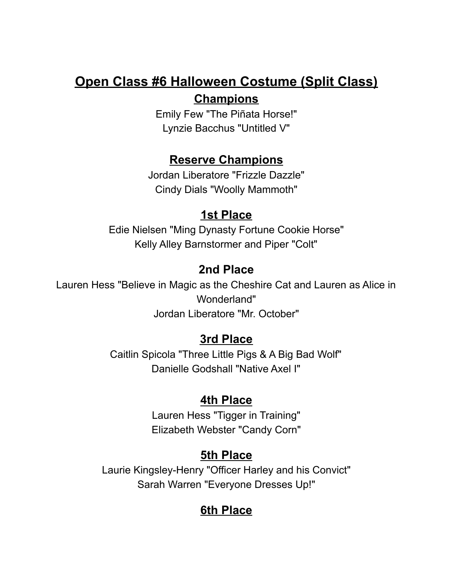### **Open Class #6 Halloween Costume (Split Class) Champions**

Emily Few "The Piñata Horse!" Lynzie Bacchus "Untitled V"

#### **Reserve Champions**

Jordan Liberatore "Frizzle Dazzle" Cindy Dials "Woolly Mammoth"

### **1st Place**

Edie Nielsen "Ming Dynasty Fortune Cookie Horse" Kelly Alley Barnstormer and Piper "Colt"

### **2nd Place**

Lauren Hess "Believe in Magic as the Cheshire Cat and Lauren as Alice in Wonderland" Jordan Liberatore "Mr. October"

### **3rd Place**

Caitlin Spicola "Three Little Pigs & A Big Bad Wolf" Danielle Godshall "Native Axel I"

### **4th Place**

Lauren Hess "Tigger in Training" Elizabeth Webster "Candy Corn"

### **5th Place**

Laurie Kingsley-Henry "Officer Harley and his Convict" Sarah Warren "Everyone Dresses Up!"

# **6th Place**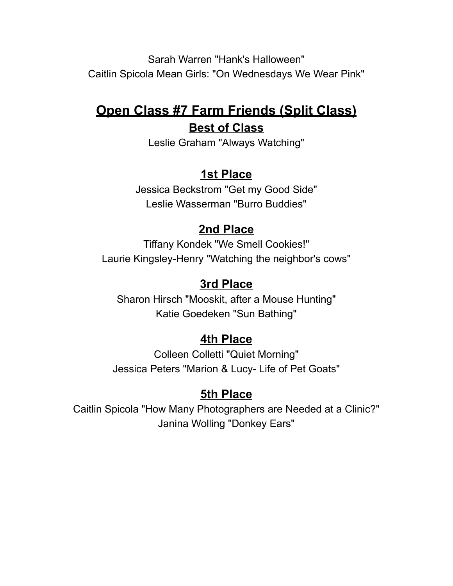Sarah Warren "Hank's Halloween" Caitlin Spicola Mean Girls: "On Wednesdays We Wear Pink"

### **Open Class #7 Farm Friends (Split Class) Best of Class**

Leslie Graham "Always Watching"

### **1st Place**

Jessica Beckstrom "Get my Good Side" Leslie Wasserman "Burro Buddies"

### **2nd Place**

Tiffany Kondek "We Smell Cookies!" Laurie Kingsley-Henry "Watching the neighbor's cows"

### **3rd Place**

Sharon Hirsch "Mooskit, after a Mouse Hunting" Katie Goedeken "Sun Bathing"

### **4th Place**

Colleen Colletti "Quiet Morning" Jessica Peters "Marion & Lucy- Life of Pet Goats"

### **5th Place**

Caitlin Spicola "How Many Photographers are Needed at a Clinic?" Janina Wolling "Donkey Ears"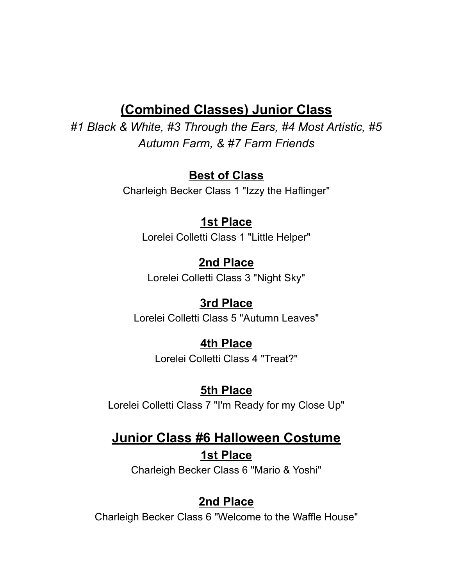### **(Combined Classes) Junior Class**

*#1 Black & White, #3 Through the Ears, #4 Most Artistic, #5 Autumn Farm, & #7 Farm Friends*

#### **Best of Class**

Charleigh Becker Class 1 "Izzy the Haflinger"

#### **1st Place**

Lorelei Colletti Class 1 "Little Helper"

#### **2nd Place**

Lorelei Colletti Class 3 "Night Sky"

#### **3rd Place**

Lorelei Colletti Class 5 "Autumn Leaves"

#### **4th Place**

Lorelei Colletti Class 4 "Treat?"

#### **5th Place**

Lorelei Colletti Class 7 "I'm Ready for my Close Up"

### **Junior Class #6 Halloween Costume 1st Place**

Charleigh Becker Class 6 "Mario & Yoshi"

### **2nd Place**

Charleigh Becker Class 6 "Welcome to the Waffle House"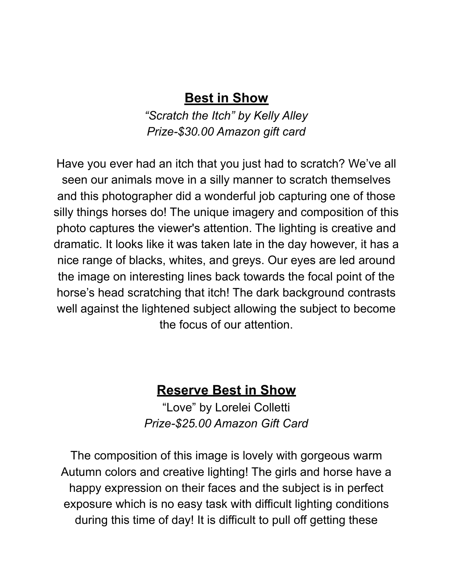### **Best in Show**

*"Scratch the Itch" by Kelly Alley Prize-\$30.00 Amazon gift card*

Have you ever had an itch that you just had to scratch? We've all seen our animals move in a silly manner to scratch themselves and this photographer did a wonderful job capturing one of those silly things horses do! The unique imagery and composition of this photo captures the viewer's attention. The lighting is creative and dramatic. It looks like it was taken late in the day however, it has a nice range of blacks, whites, and greys. Our eyes are led around the image on interesting lines back towards the focal point of the horse's head scratching that itch! The dark background contrasts well against the lightened subject allowing the subject to become the focus of our attention.

### **Reserve Best in Show**

"Love" by Lorelei Colletti *Prize-\$25.00 Amazon Gift Card*

The composition of this image is lovely with gorgeous warm Autumn colors and creative lighting! The girls and horse have a happy expression on their faces and the subject is in perfect exposure which is no easy task with difficult lighting conditions during this time of day! It is difficult to pull off getting these